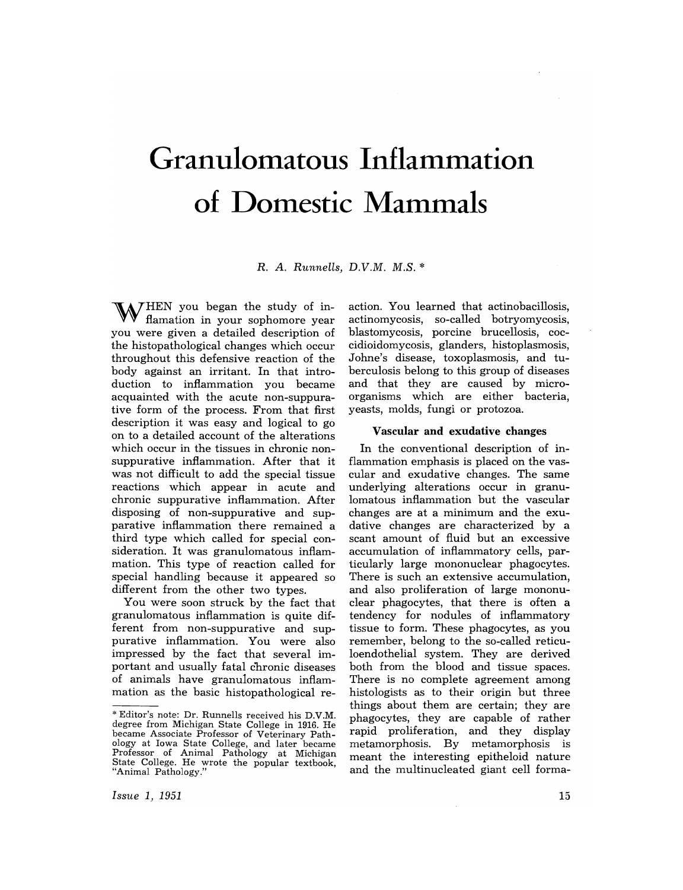# **Granulomatous Inflammation of Domestic Mammals**

R. *A. Runnells, D.V.M. M.S.* \*

 $\mathbf{W}_{a}^{\text{HEN}}$  you began the study of inflamation in your sophomore year you were given a detailed description of the histopathological changes which occur throughout this defensive reaction of the body against an irritant. In that introduction to inflammation you became acquainted with the acute non-suppurative form of the process. From that first description it was easy and logical to go on to a detailed account of the alterations which occur in the tissues in chronic nonsuppurative inflammation. After that it was not difficult to add the special tissue reactions which appear in acute and chronic suppurative inflammation. After disposing of non-suppurative and supparative inflammation there remained a third type which called for special consideration. It was granulomatous inflammation. This type of reaction called for special handling because it appeared so different from the other two types.

You were soon struck by the fact that granulomatous inflammation is quite different from non-suppurative and suppurative inflammation. You were also impressed by the fact that several important and usually fatal chronic diseases of animals have granulomatous inflammation as the basic histopathological reaction. You learned that actinobacillosis, actinomycosis, so-called botryomycosis, blastomycosis, porcine brucellosis, coccidioidomycosis, glanders, histoplasmosis, Johne's disease, toxoplasmosis, and tuberculosis belong to this group of diseases and that they are caused by microorganisms which are either bacteria, yeasts, molds, fungi or protozoa.

#### Vascular and exudative changes

In the conventional description of inflammation emphasis is placed on the vascular and exudative changes. The same underlying alterations occur in granulomatous inflammation but the vascular changes are at a minimum and the exudative changes are characterized by a scant amount of fluid but an excessive accumulation of inflammatory cells, particularly large mononuclear phagocytes. There is such an extensive accumulation, and also proliferation of large mononuclear phagocytes, that there is often a tendency for nodules of inflammatory tissue to form. These phagocytes, as you remember, belong to the so-called reticuloendothelial system. They are derived both from the blood and tissue spaces. There is no complete agreement among histologists as to their origin but three things about them are certain; they are phagocytes, they are capable of rather rapid proliferation, and they display metamorphosis. By metamorphosis is meant the interesting epitheloid nature and the multinucleated giant cell forma-

<sup>\*</sup> Editor's note: Dr. Runnells received his D.V.M. degree from Michigan State College in 1916. He became Associate Professor of Veterinary Pathology at Iowa State College, and later became Professor of Animal Pathology at Michigan State College. He wrote the popular textbook, "Animal Pathology."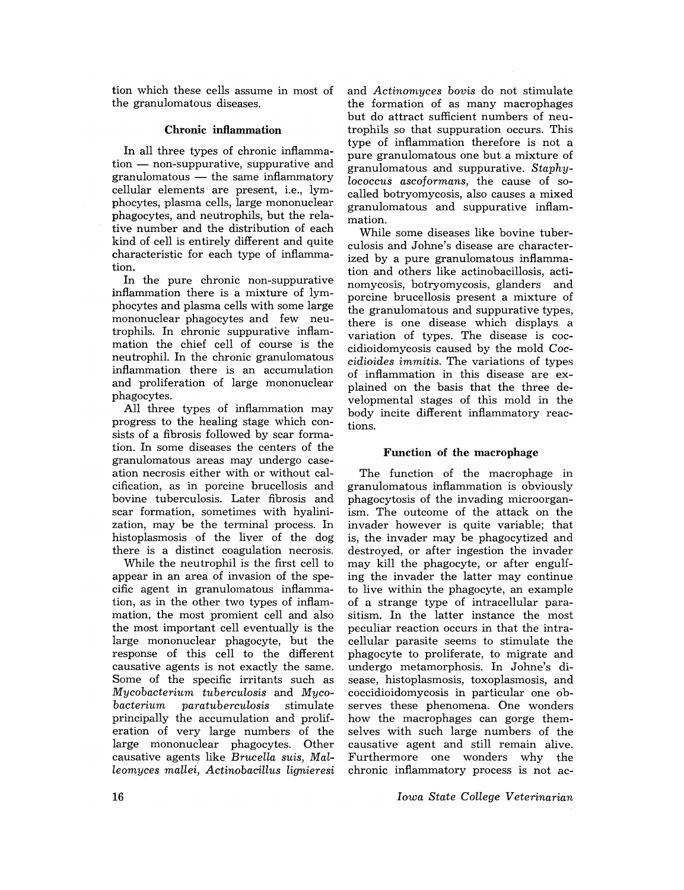tion which these cells assume in most of the granulomatous diseases.

### Chronic inflammation

In all three types of chronic inflamma $tion$  - non-suppurative, suppurative and  $gramulomatous$  — the same inflammatory cellular elements are present, i.e., lymphocytes, plasma cells, large mononuclear phagocytes, and neutrophils, but the relative number and the distribution of each kind of cell is entirely different and quite characteristic for each type of inflammation.

In the pure chronic non-suppurative inflammation there is a mixture of lymphocytes and plasma cells with some large mononuclear phagocytes and few neutrophils. In chronic suppurative inflammation the chief cell of course is the neutrophil. In the chronic granulomatous inflammation there is an accumulation and proliferation of large mononuclear phagocytes.

All three types of inflammation may progress to the healing stage which consists of a fibrosis followed by scar formation. In some diseases the centers of the granulomatous areas may undergo caseation necrosis either with or without calcification, as in porcine brucellosis and bovine tuberculosis. Later fibrosis and scar formation, sometimes with hyalinization, may be the terminal process. In histoplasmosis of the liver of the dog there is a distinct coagulation necrosis.

While the neutrophil is the first cell to appear in an area of invasion of the specific agent in granulomatous inflammation, as in the other two types of inflammation, the most promient cell and also the most important cell eventually is the large mononuclear phagocyte, but the response of this cell to the different causative agents is not exactly the same. Some of the specific irritants such as *Mycobacterium tuberculosis* and *Mycobacterium paratuberculosis* stimulate principally the accumulation and proliferation of very large numbers of the large mononuclear phagocytes. Other causative agents like *Brucella suis, Malleomyces* mallei~ *Actinobacillus lignieresi* 

and *Actinomyces bovis* do not stimulate the formation of as many macrophages but do attract sufficient numbers of neutrophils so that suppuration occurs. This type of inflammation therefore is not a pure granulomatous one but a mixture of granulomatous and suppurative. *Staphylococcus ascoformans,* the cause of socalled botryomycosis, also causes a mixed granulomatous and suppurative inflammation.

While some diseases like bovine tuberculosis and Johne's disease are characterized by a pure granulomatous inflammation and others like actinobacillosis, actinomycosis, botryomycosis, glanders and porcine brucellosis present a mixture of the granulomatous and suppurative types, there is one disease which displays a variation of types. The disease is coccidioidomycosis caused by the mold *Coccidioides immitis.* The variations of types of inflammation in this disease are explained on the basis that the three developmental stages of this mold in the body incite different inflammatory reactions.

## Function of the macrophage

The function of the macrophage in granulomatous inflammation is obviously phagocytosis of the invading microorganism. The outcome of the attack on the invader however is quite variable; that is, the invader may be phagocytized and destroyed, or after ingestion the invader may kill the phagocyte, or after engulfing the invader the latter may continue to live within the phagocyte, an example of a strange type of intracellular parasitism. In the latter instance the most peculiar reaction occurs in that the intracellular parasite seems to stimulate the phagocyte to proliferate, to migrate and undergo metamorphosis. In Johne's disease, histoplasmosis, toxoplasmosis, and coccidioidomycosis in particular one observes these phenomena. One wonders how the macrophages can gorge themselves with such large numbers of the causative agent and still remain alive. Furthermore one wonders why the chronic inflammatory process is not ac-

*Iowa State College Veterinarian*